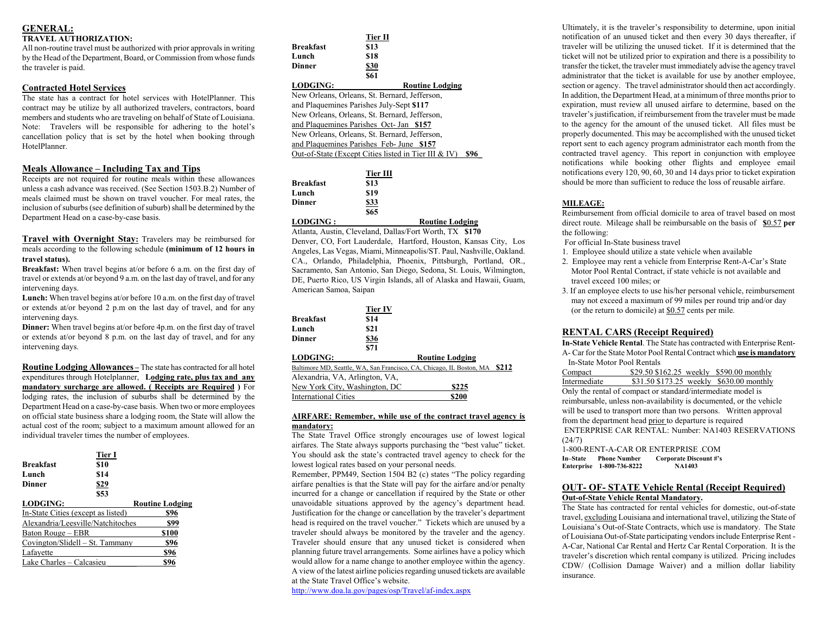# **GENERAL:**

#### **TRAVEL AUTHORIZATION:**

All non-routine travel must be authorized with prior approvals in writing by the Head of the Department, Board, or Commission from whose funds the traveler is paid.

# **Contracted Hotel Services**

The state has a contract for hotel services with HotelPlanner. This contract may be utilize by all authorized travelers, contractors, board members and students who are traveling on behalf of State of Louisiana. Note: Travelers will be responsible for adhering to the hotel's cancellation policy that is set by the hotel when booking through HotelPlanner.

# **Meals Allowance – Including Tax and Tips**

Receipts are not required for routine meals within these allowances unless a cash advance was received. (See Section 1503.B.2) Number of meals claimed must be shown on travel voucher. For meal rates, the inclusion of suburbs (see definition of suburb) shall be determined by the Department Head on a case-by-case basis.

**Travel with Overnight Stay:** Travelers may be reimbursed for meals according to the following schedule **(minimum of 12 hours in travel status).** 

**Breakfast:** When travel begins at/or before 6 a.m. on the first day of travel or extends at/or beyond 9 a.m. on the last day of travel, and for any intervening days.

**Lunch:** When travel begins at/or before 10 a.m. on the first day of travel or extends at/or beyond 2 p.m on the last day of travel, and for any intervening days.

**Dinner:** When travel begins at/or before 4p.m. on the first day of travel or extends at/or beyond 8 p.m. on the last day of travel, and for any intervening days.

**Routine Lodging Allowances –** The state has contracted for all hotel expenditures through Hotelplanner, **Lodging rate, plus tax and any mandatory surcharge are allowed. ( Receipts are Required )** For lodging rates, the inclusion of suburbs shall be determined by the Department Head on a case-by-case basis. When two or more employees on official state business share a lodging room, the State will allow the actual cost of the room; subject to a maximum amount allowed for an individual traveler times the number of employees.

| <b>Breakfast</b><br>Lunch<br>Dinner | Tier I<br>\$10<br>\$14<br>\$29<br>\$53 |
|-------------------------------------|----------------------------------------|
| <b>LODGING:</b>                     | <b>Routine Lodging</b>                 |
| In-State Cities (except as listed)  | \$96                                   |
| Alexandria/Leesville/Natchitoches   | \$99                                   |
| Baton Rouge – EBR                   | \$100                                  |
| Covington/Slidell – St. Tammany     | \$96                                   |
| Lafayette                           | \$96                                   |
| Lake Charles – Calcasieu            |                                        |

|                                               | Tier II  |                                                      |      |
|-----------------------------------------------|----------|------------------------------------------------------|------|
| <b>Breakfast</b>                              | \$13     |                                                      |      |
| Lunch                                         | \$18     |                                                      |      |
| Dinner                                        | \$30     |                                                      |      |
|                                               | \$61     |                                                      |      |
| <b>LODGING:</b>                               |          | <b>Routine Lodging</b>                               |      |
| New Orleans, Orleans, St. Bernard, Jefferson, |          |                                                      |      |
| and Plaquemines Parishes July-Sept \$117      |          |                                                      |      |
| New Orleans, Orleans, St. Bernard, Jefferson, |          |                                                      |      |
| and Plaquemines Parishes Oct- Jan \$157       |          |                                                      |      |
| New Orleans, Orleans, St. Bernard, Jefferson, |          |                                                      |      |
| and Plaquemines Parishes Feb-June \$157       |          |                                                      |      |
|                                               |          | Out-of-State (Except Cities listed in Tier III & IV) | \$96 |
|                                               |          |                                                      |      |
|                                               | Tier III |                                                      |      |

| Breakfast        | \$13       |                        |
|------------------|------------|------------------------|
| Lunch            | \$19       |                        |
| Dinner           | \$33       |                        |
|                  | <b>S65</b> |                        |
| <b>LODGING :</b> |            | <b>Routine Lodging</b> |

Atlanta, Austin, Cleveland, Dallas/Fort Worth, TX **\$170**  Denver, CO, Fort Lauderdale, Hartford, Houston, Kansas City, Los Angeles, Las Vegas, Miami, Minneapolis/ST. Paul, Nashville, Oakland. CA., Orlando, Philadelphia, Phoenix, Pittsburgh, Portland, OR., Sacramento, San Antonio, San Diego, Sedona, St. Louis, Wilmington, DE, Puerto Rico, US Virgin Islands, all of Alaska and Hawaii, Guam, American Samoa, Saipan

| <b>Breakfast</b><br>Lunch<br><b>Dinner</b> | Tier IV<br>\$14<br>\$21<br>\$36<br>\$71 |                                                                      |       |
|--------------------------------------------|-----------------------------------------|----------------------------------------------------------------------|-------|
| <b>LODGING:</b>                            |                                         | <b>Routine Lodging</b>                                               |       |
|                                            |                                         | Baltimore MD, Seattle, WA, San Francisco, CA, Chicago, IL Boston, MA | \$212 |
| Alexandria, VA, Arlington, VA,             |                                         |                                                                      |       |
| New York City, Washington, DC              |                                         | \$225                                                                |       |
| <b>International Cities</b>                |                                         | \$200                                                                |       |

#### **AIRFARE: Remember, while use of the contract travel agency is mandatory:**

The State Travel Office strongly encourages use of lowest logical airfares. The State always supports purchasing the "best value" ticket. You should ask the state's contracted travel agency to check for the lowest logical rates based on your personal needs.

Remember, PPM49, Section 1504 B2 (c) states "The policy regarding airfare penalties is that the State will pay for the airfare and/or penalty incurred for a change or cancellation if required by the State or other unavoidable situations approved by the agency's department head. Justification for the change or cancellation by the traveler's department head is required on the travel voucher." Tickets which are unused by a traveler should always be monitored by the traveler and the agency. Traveler should ensure that any unused ticket is considered when planning future travel arrangements. Some airlines have a policy which would allow for a name change to another employee within the agency. A view of the latest airline policies regarding unused tickets are available at the State Travel Office's website.

http://www.doa.la.gov/pages/osp/Travel/af-index.aspx

Ultimately, it is the traveler's responsibility to determine, upon initial notification of an unused ticket and then every 30 days thereafter, if traveler will be utilizing the unused ticket. If it is determined that the ticket will not be utilized prior to expiration and there is a possibility to transfer the ticket, the traveler must immediately advise the agency travel administrator that the ticket is available for use by another employee, section or agency. The travel administrator should then act accordingly. In addition, the Department Head, at a minimum of three months prior to expiration, must review all unused airfare to determine, based on the traveler's justification, if reimbursement from the traveler must be made to the agency for the amount of the unused ticket. All files must be properly documented. This may be accomplished with the unused ticket report sent to each agency program administrator each month from the contracted travel agency. This report in conjunction with employee notifications while booking other flights and employee email notifications every 120, 90, 60, 30 and 14 days prior to ticket expiration should be more than sufficient to reduce the loss of reusable airfare.

#### **MILEAGE:**

Reimbursement from official domicile to area of travel based on most direct route. Mileage shall be reimbursable on the basis of **\$**0.57 **per** the following:

For official In-State business travel

- 1. Employee should utilize a state vehicle when available
- 2. Employee may rent a vehicle from Enterprise Rent-A-Car's State Motor Pool Rental Contract, if state vehicle is not available and travel exceed 100 miles; or
- 3. If an employee elects to use his/her personal vehicle, reimbursement may not exceed a maximum of 99 miles per round trip and/or day (or the return to domicile) at  $$0.57$  cents per mile.

# **RENTAL CARS (Receipt Required)**

**In-State Vehicle Rental**. The State has contracted with Enterprise Rent-A- Car for the State Motor Pool Rental Contract which **use is mandatory** In-State Motor Pool Rentals

Compact \$29.50 \$162.25 weekly \$590.00 monthly<br>Intermediate \$31.50 \$173.25 weekly \$630.00 monthly  $$31.50 $173.25$  weekly  $$630.00$  monthly Only the rental of compact or standard/intermediate model is reimbursable, unless non-availability is documented, or the vehicle will be used to transport more than two persons. Written approval from the department head prior to departure is required ENTERPRISE CAR RENTAL: Number: NA1403 RESERVATIONS (24/7) 1-800-RENT-A-CAR OR ENTERPRISE .COM

**In–State Phone Number Corporate Discount #'s Enterprise 1-800-736-8222** 

#### **OUT- OF- STATE Vehicle Rental (Receipt Required) Out-of-State Vehicle Rental Mandatory.**

The State has contracted for rental vehicles for domestic, out-of-state travel, excluding Louisiana and international travel, utilizing the State of Louisiana's Out-of-State Contracts, which use is mandatory. The State of Louisiana Out-of-State participating vendors include Enterprise Rent - A-Car, National Car Rental and Hertz Car Rental Corporation. It is the traveler's discretion which rental company is utilized. Pricing includes CDW/ (Collision Damage Waiver) and a million dollar liability insurance.